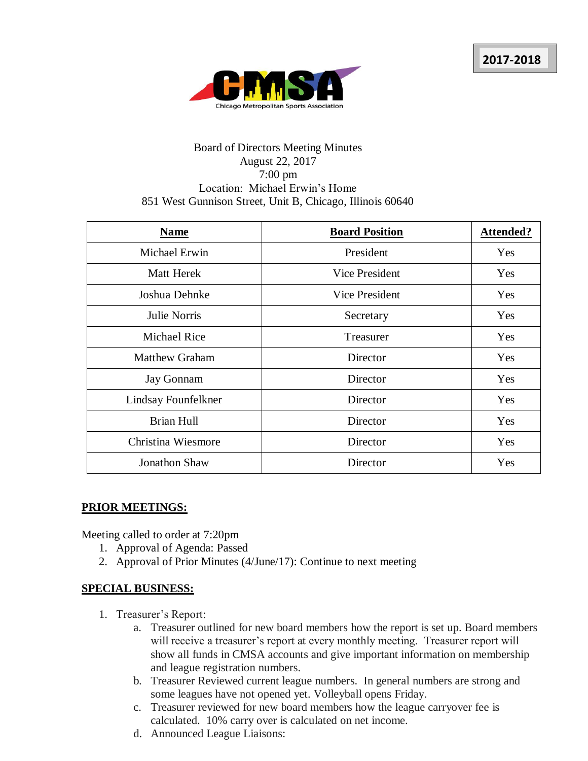

## Board of Directors Meeting Minutes August 22, 2017 7:00 pm Location: Michael Erwin's Home 851 West Gunnison Street, Unit B, Chicago, Illinois 60640

| <b>Name</b>           | <b>Board Position</b> | <b>Attended?</b> |
|-----------------------|-----------------------|------------------|
| <b>Michael Erwin</b>  | President             | Yes              |
| Matt Herek            | Vice President        | Yes              |
| Joshua Dehnke         | Vice President        | Yes              |
| Julie Norris          | Secretary             | Yes              |
| <b>Michael Rice</b>   | Treasurer             | Yes              |
| <b>Matthew Graham</b> | Director              | Yes              |
| Jay Gonnam            | Director              | Yes              |
| Lindsay Founfelkner   | Director              | Yes              |
| <b>Brian Hull</b>     | Director              | Yes              |
| Christina Wiesmore    | Director              | Yes              |
| <b>Jonathon Shaw</b>  | Director              | Yes              |

## **PRIOR MEETINGS:**

Meeting called to order at 7:20pm

- 1. Approval of Agenda: Passed
- 2. Approval of Prior Minutes (4/June/17): Continue to next meeting

## **SPECIAL BUSINESS:**

- 1. Treasurer's Report:
	- a. Treasurer outlined for new board members how the report is set up. Board members will receive a treasurer's report at every monthly meeting. Treasurer report will show all funds in CMSA accounts and give important information on membership and league registration numbers.
	- b. Treasurer Reviewed current league numbers. In general numbers are strong and some leagues have not opened yet. Volleyball opens Friday.
	- c. Treasurer reviewed for new board members how the league carryover fee is calculated. 10% carry over is calculated on net income.
	- d. Announced League Liaisons: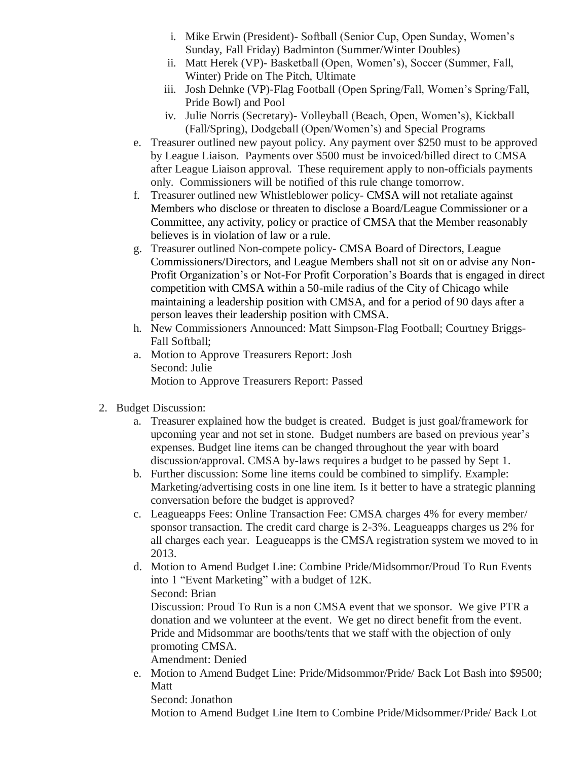- i. Mike Erwin (President)- Softball (Senior Cup, Open Sunday, Women's Sunday, Fall Friday) Badminton (Summer/Winter Doubles)
- ii. Matt Herek (VP)- Basketball (Open, Women's), Soccer (Summer, Fall, Winter) Pride on The Pitch, Ultimate
- iii. Josh Dehnke (VP)-Flag Football (Open Spring/Fall, Women's Spring/Fall, Pride Bowl) and Pool
- iv. Julie Norris (Secretary)- Volleyball (Beach, Open, Women's), Kickball (Fall/Spring), Dodgeball (Open/Women's) and Special Programs
- e. Treasurer outlined new payout policy. Any payment over \$250 must to be approved by League Liaison. Payments over \$500 must be invoiced/billed direct to CMSA after League Liaison approval. These requirement apply to non-officials payments only. Commissioners will be notified of this rule change tomorrow.
- f. Treasurer outlined new Whistleblower policy- CMSA will not retaliate against Members who disclose or threaten to disclose a Board/League Commissioner or a Committee, any activity, policy or practice of CMSA that the Member reasonably believes is in violation of law or a rule.
- g. Treasurer outlined Non-compete policy- CMSA Board of Directors, League Commissioners/Directors, and League Members shall not sit on or advise any Non-Profit Organization's or Not-For Profit Corporation's Boards that is engaged in direct competition with CMSA within a 50-mile radius of the City of Chicago while maintaining a leadership position with CMSA, and for a period of 90 days after a person leaves their leadership position with CMSA.
- h. New Commissioners Announced: Matt Simpson-Flag Football; Courtney Briggs-Fall Softball;
- a. Motion to Approve Treasurers Report: Josh Second: Julie Motion to Approve Treasurers Report: Passed
- 2. Budget Discussion:
	- a. Treasurer explained how the budget is created. Budget is just goal/framework for upcoming year and not set in stone. Budget numbers are based on previous year's expenses. Budget line items can be changed throughout the year with board discussion/approval. CMSA by-laws requires a budget to be passed by Sept 1.
	- b. Further discussion: Some line items could be combined to simplify. Example: Marketing/advertising costs in one line item. Is it better to have a strategic planning conversation before the budget is approved?
	- c. Leagueapps Fees: Online Transaction Fee: CMSA charges 4% for every member/ sponsor transaction. The credit card charge is 2-3%. Leagueapps charges us 2% for all charges each year. Leagueapps is the CMSA registration system we moved to in 2013.
	- d. Motion to Amend Budget Line: Combine Pride/Midsommor/Proud To Run Events into 1 "Event Marketing" with a budget of 12K. Second: Brian

Discussion: Proud To Run is a non CMSA event that we sponsor. We give PTR a donation and we volunteer at the event. We get no direct benefit from the event. Pride and Midsommar are booths/tents that we staff with the objection of only promoting CMSA.

Amendment: Denied

- e. Motion to Amend Budget Line: Pride/Midsommor/Pride/ Back Lot Bash into \$9500; Matt
	- Second: Jonathon

Motion to Amend Budget Line Item to Combine Pride/Midsommer/Pride/ Back Lot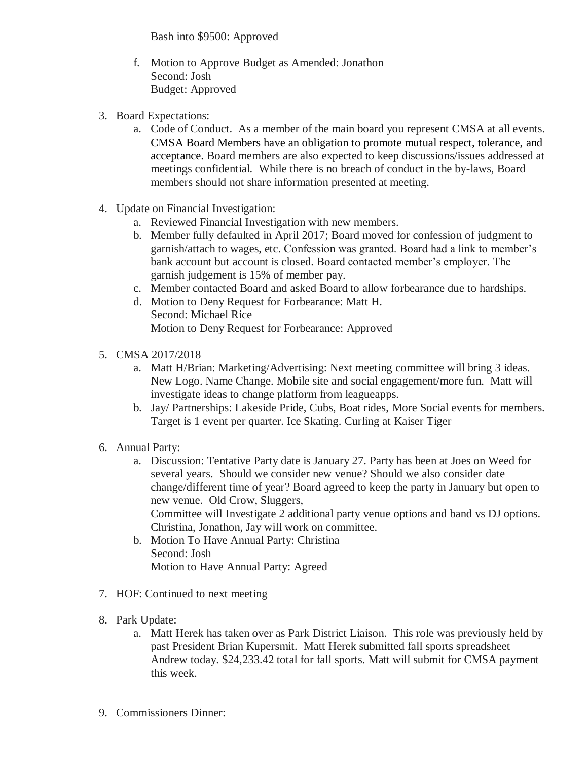Bash into \$9500: Approved

- f. Motion to Approve Budget as Amended: Jonathon Second: Josh Budget: Approved
- 3. Board Expectations:
	- a. Code of Conduct. As a member of the main board you represent CMSA at all events. CMSA Board Members have an obligation to promote mutual respect, tolerance, and acceptance. Board members are also expected to keep discussions/issues addressed at meetings confidential. While there is no breach of conduct in the by-laws, Board members should not share information presented at meeting.
- 4. Update on Financial Investigation:
	- a. Reviewed Financial Investigation with new members.
	- b. Member fully defaulted in April 2017; Board moved for confession of judgment to garnish/attach to wages, etc. Confession was granted. Board had a link to member's bank account but account is closed. Board contacted member's employer. The garnish judgement is 15% of member pay.
	- c. Member contacted Board and asked Board to allow forbearance due to hardships.
	- d. Motion to Deny Request for Forbearance: Matt H. Second: Michael Rice Motion to Deny Request for Forbearance: Approved
- 5. CMSA 2017/2018
	- a. Matt H/Brian: Marketing/Advertising: Next meeting committee will bring 3 ideas. New Logo. Name Change. Mobile site and social engagement/more fun. Matt will investigate ideas to change platform from leagueapps.
	- b. Jay/ Partnerships: Lakeside Pride, Cubs, Boat rides, More Social events for members. Target is 1 event per quarter. Ice Skating. Curling at Kaiser Tiger
- 6. Annual Party:
	- a. Discussion: Tentative Party date is January 27. Party has been at Joes on Weed for several years. Should we consider new venue? Should we also consider date change/different time of year? Board agreed to keep the party in January but open to new venue. Old Crow, Sluggers, Committee will Investigate 2 additional party venue options and band vs DJ options. Christina, Jonathon, Jay will work on committee.
	- b. Motion To Have Annual Party: Christina Second: Josh Motion to Have Annual Party: Agreed
- 7. HOF: Continued to next meeting
- 8. Park Update:
	- a. Matt Herek has taken over as Park District Liaison. This role was previously held by past President Brian Kupersmit. Matt Herek submitted fall sports spreadsheet Andrew today. \$24,233.42 total for fall sports. Matt will submit for CMSA payment this week.
- 9. Commissioners Dinner: